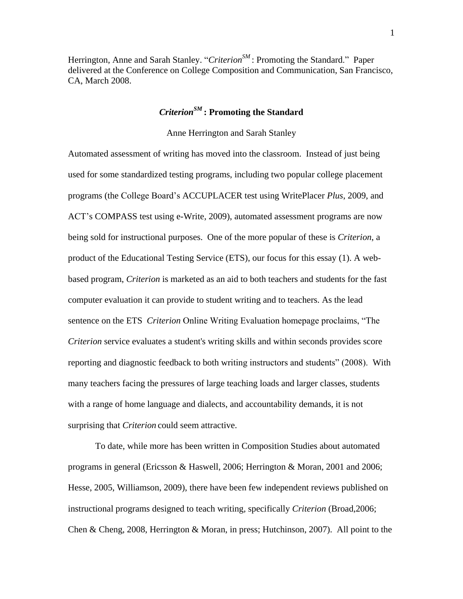Herrington, Anne and Sarah Stanley. "*CriterionSM* : Promoting the Standard." Paper delivered at the Conference on College Composition and Communication, San Francisco, CA, March 2008.

# *CriterionSM* **: Promoting the Standard**

#### Anne Herrington and Sarah Stanley

Automated assessment of writing has moved into the classroom. Instead of just being used for some standardized testing programs, including two popular college placement programs (the College Board"s ACCUPLACER test using WritePlacer *Plus*, 2009, and ACT"s COMPASS test using e-Write, 2009), automated assessment programs are now being sold for instructional purposes. One of the more popular of these is *Criterion*, a product of the Educational Testing Service (ETS), our focus for this essay (1). A webbased program, *Criterion* is marketed as an aid to both teachers and students for the fast computer evaluation it can provide to student writing and to teachers. As the lead sentence on the ETS *Criterion* Online Writing Evaluation homepage proclaims, "The *Criterion* service evaluates a student's writing skills and within seconds provides score reporting and diagnostic feedback to both writing instructors and students" (2008). With many teachers facing the pressures of large teaching loads and larger classes, students with a range of home language and dialects, and accountability demands, it is not surprising that *Criterion* could seem attractive.

To date, while more has been written in Composition Studies about automated programs in general (Ericsson & Haswell, 2006; Herrington & Moran, 2001 and 2006; Hesse, 2005, Williamson, 2009), there have been few independent reviews published on instructional programs designed to teach writing, specifically *Criterion* (Broad,2006; Chen & Cheng, 2008, Herrington & Moran, in press; Hutchinson, 2007). All point to the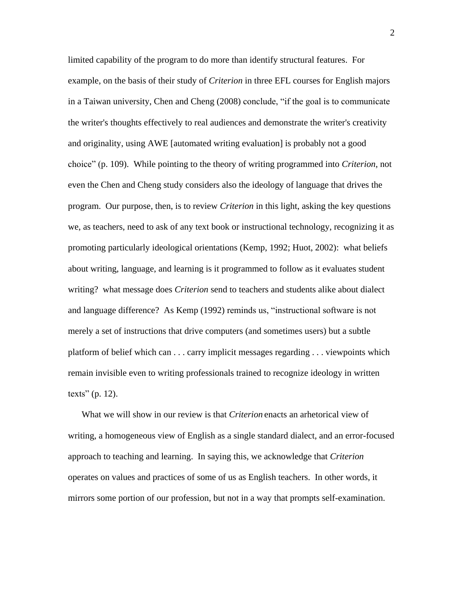limited capability of the program to do more than identify structural features. For example, on the basis of their study of *Criterion* in three EFL courses for English majors in a Taiwan university, Chen and Cheng (2008) conclude, "if the goal is to communicate the writer's thoughts effectively to real audiences and demonstrate the writer's creativity and originality, using AWE [automated writing evaluation] is probably not a good choice" (p. 109). While pointing to the theory of writing programmed into *Criterion*, not even the Chen and Cheng study considers also the ideology of language that drives the program. Our purpose, then, is to review *Criterion* in this light, asking the key questions we, as teachers, need to ask of any text book or instructional technology, recognizing it as promoting particularly ideological orientations (Kemp, 1992; Huot, 2002): what beliefs about writing, language, and learning is it programmed to follow as it evaluates student writing? what message does *Criterion* send to teachers and students alike about dialect and language difference? As Kemp (1992) reminds us, "instructional software is not merely a set of instructions that drive computers (and sometimes users) but a subtle platform of belief which can . . . carry implicit messages regarding . . . viewpoints which remain invisible even to writing professionals trained to recognize ideology in written texts" (p. 12).

What we will show in our review is that *Criterion* enacts an arhetorical view of writing, a homogeneous view of English as a single standard dialect, and an error-focused approach to teaching and learning. In saying this, we acknowledge that *Criterion* operates on values and practices of some of us as English teachers. In other words, it mirrors some portion of our profession, but not in a way that prompts self-examination.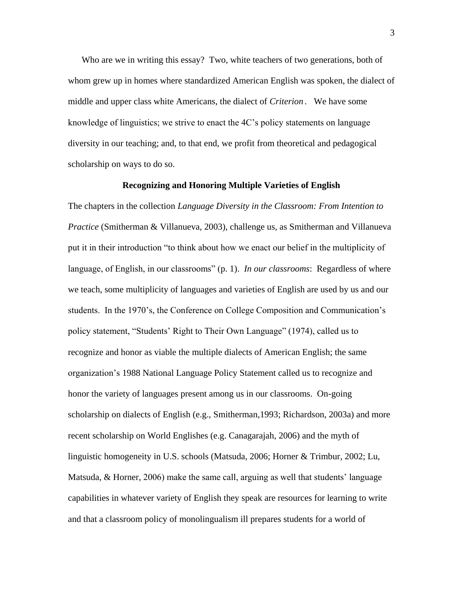Who are we in writing this essay? Two, white teachers of two generations, both of whom grew up in homes where standardized American English was spoken, the dialect of middle and upper class white Americans, the dialect of *Criterion .* We have some knowledge of linguistics; we strive to enact the 4C"s policy statements on language diversity in our teaching; and, to that end, we profit from theoretical and pedagogical scholarship on ways to do so.

#### **Recognizing and Honoring Multiple Varieties of English**

The chapters in the collection *Language Diversity in the Classroom: From Intention to Practice* (Smitherman & Villanueva, 2003), challenge us, as Smitherman and Villanueva put it in their introduction "to think about how we enact our belief in the multiplicity of language, of English, in our classrooms" (p. 1). *In our classrooms*: Regardless of where we teach, some multiplicity of languages and varieties of English are used by us and our students. In the 1970's, the Conference on College Composition and Communication's policy statement, "Students" Right to Their Own Language" (1974), called us to recognize and honor as viable the multiple dialects of American English; the same organization"s 1988 National Language Policy Statement called us to recognize and honor the variety of languages present among us in our classrooms. On-going scholarship on dialects of English (e.g., Smitherman,1993; Richardson, 2003a) and more recent scholarship on World Englishes (e.g. Canagarajah, 2006) and the myth of linguistic homogeneity in U.S. schools (Matsuda, 2006; Horner & Trimbur, 2002; Lu, Matsuda, & Horner, 2006) make the same call, arguing as well that students' language capabilities in whatever variety of English they speak are resources for learning to write and that a classroom policy of monolingualism ill prepares students for a world of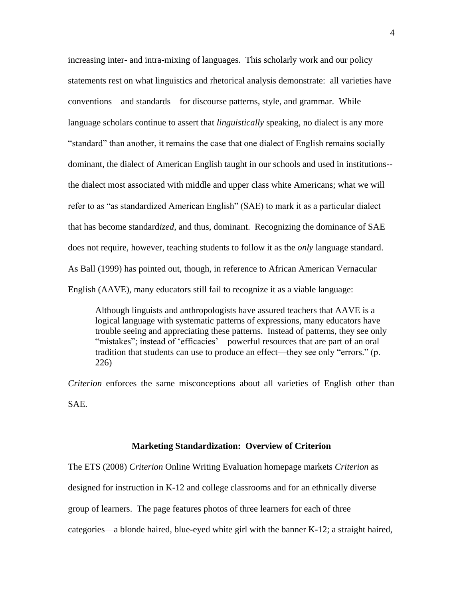increasing inter- and intra-mixing of languages. This scholarly work and our policy statements rest on what linguistics and rhetorical analysis demonstrate: all varieties have conventions—and standards—for discourse patterns, style, and grammar. While language scholars continue to assert that *linguistically* speaking, no dialect is any more "standard" than another, it remains the case that one dialect of English remains socially dominant, the dialect of American English taught in our schools and used in institutions- the dialect most associated with middle and upper class white Americans; what we will refer to as "as standardized American English" (SAE) to mark it as a particular dialect that has become standard*ized*, and thus, dominant. Recognizing the dominance of SAE does not require, however, teaching students to follow it as the *only* language standard. As Ball (1999) has pointed out, though, in reference to African American Vernacular English (AAVE), many educators still fail to recognize it as a viable language:

Although linguists and anthropologists have assured teachers that AAVE is a logical language with systematic patterns of expressions, many educators have trouble seeing and appreciating these patterns. Instead of patterns, they see only "mistakes"; instead of 'efficacies'—powerful resources that are part of an oral tradition that students can use to produce an effect—they see only "errors." (p. 226)

*Criterion* enforces the same misconceptions about all varieties of English other than SAE.

#### **Marketing Standardization: Overview of Criterion**

The ETS (2008) *Criterion* Online Writing Evaluation homepage markets *Criterion* as designed for instruction in K-12 and college classrooms and for an ethnically diverse group of learners. The page features photos of three learners for each of three categories—a blonde haired, blue-eyed white girl with the banner K-12; a straight haired,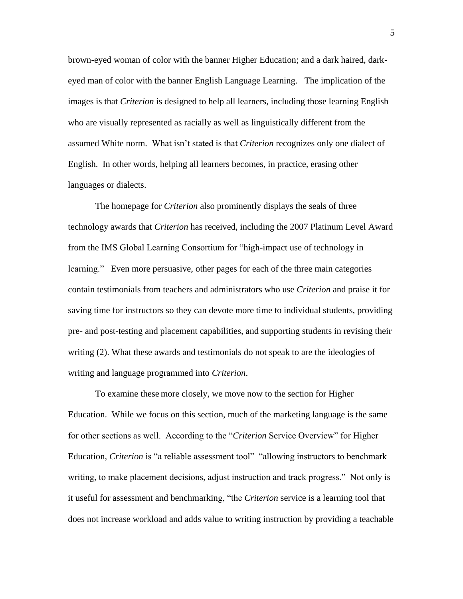brown-eyed woman of color with the banner Higher Education; and a dark haired, darkeyed man of color with the banner English Language Learning. The implication of the images is that *Criterion* is designed to help all learners, including those learning English who are visually represented as racially as well as linguistically different from the assumed White norm. What isn"t stated is that *Criterion* recognizes only one dialect of English. In other words, helping all learners becomes, in practice, erasing other languages or dialects.

The homepage for *Criterion* also prominently displays the seals of three technology awards that *Criterion* has received, including the 2007 Platinum Level Award from the IMS Global Learning Consortium for "high-impact use of technology in learning." Even more persuasive, other pages for each of the three main categories contain testimonials from teachers and administrators who use *Criterion* and praise it for saving time for instructors so they can devote more time to individual students, providing pre- and post-testing and placement capabilities, and supporting students in revising their writing (2). What these awards and testimonials do not speak to are the ideologies of writing and language programmed into *Criterion*.

To examine these more closely, we move now to the section for Higher Education. While we focus on this section, much of the marketing language is the same for other sections as well. According to the "*Criterion* Service Overview" for Higher Education, *Criterion* is "a reliable assessment tool" "allowing instructors to benchmark writing, to make placement decisions, adjust instruction and track progress." Not only is it useful for assessment and benchmarking, "the *Criterion* service is a learning tool that does not increase workload and adds value to writing instruction by providing a teachable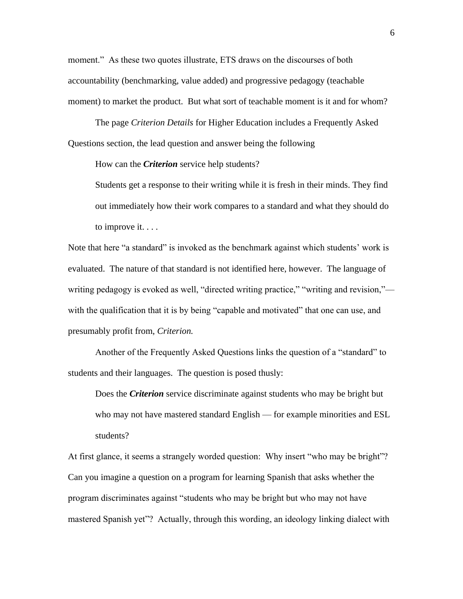moment." As these two quotes illustrate, ETS draws on the discourses of both accountability (benchmarking, value added) and progressive pedagogy (teachable moment) to market the product. But what sort of teachable moment is it and for whom?

The page *Criterion Details* for Higher Education includes a Frequently Asked Questions section, the lead question and answer being the following

How can the *Criterion* service help students?

Students get a response to their writing while it is fresh in their minds. They find out immediately how their work compares to a standard and what they should do to improve it. . . .

Note that here "a standard" is invoked as the benchmark against which students' work is evaluated. The nature of that standard is not identified here, however. The language of writing pedagogy is evoked as well, "directed writing practice," "writing and revision," with the qualification that it is by being "capable and motivated" that one can use, and presumably profit from, *Criterion.* 

Another of the Frequently Asked Questions links the question of a "standard" to students and their languages. The question is posed thusly:

Does the *Criterion* service discriminate against students who may be bright but who may not have mastered standard English — for example minorities and ESL students?

At first glance, it seems a strangely worded question: Why insert "who may be bright"? Can you imagine a question on a program for learning Spanish that asks whether the program discriminates against "students who may be bright but who may not have mastered Spanish yet"? Actually, through this wording, an ideology linking dialect with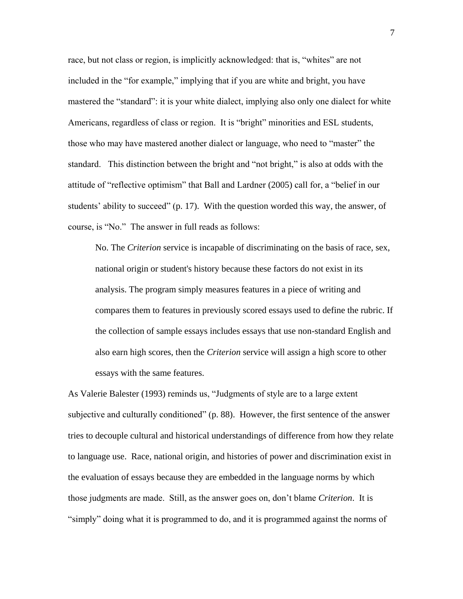race, but not class or region, is implicitly acknowledged: that is, "whites" are not included in the "for example," implying that if you are white and bright, you have mastered the "standard": it is your white dialect, implying also only one dialect for white Americans, regardless of class or region. It is "bright" minorities and ESL students, those who may have mastered another dialect or language, who need to "master" the standard. This distinction between the bright and "not bright," is also at odds with the attitude of "reflective optimism" that Ball and Lardner (2005) call for, a "belief in our students' ability to succeed"  $(p, 17)$ . With the question worded this way, the answer, of course, is "No." The answer in full reads as follows:

No. The *Criterion* service is incapable of discriminating on the basis of race, sex, national origin or student's history because these factors do not exist in its analysis. The program simply measures features in a piece of writing and compares them to features in previously scored essays used to define the rubric. If the collection of sample essays includes essays that use non-standard English and also earn high scores, then the *Criterion* service will assign a high score to other essays with the same features.

As Valerie Balester (1993) reminds us, "Judgments of style are to a large extent subjective and culturally conditioned" (p. 88). However, the first sentence of the answer tries to decouple cultural and historical understandings of difference from how they relate to language use. Race, national origin, and histories of power and discrimination exist in the evaluation of essays because they are embedded in the language norms by which those judgments are made. Still, as the answer goes on, don"t blame *Criterion*. It is "simply" doing what it is programmed to do, and it is programmed against the norms of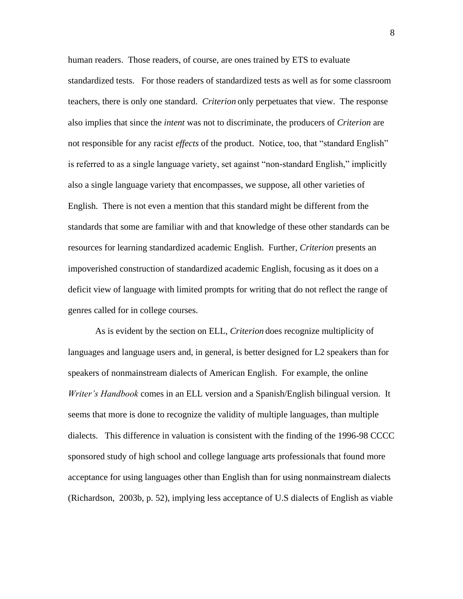human readers. Those readers, of course, are ones trained by ETS to evaluate standardized tests. For those readers of standardized tests as well as for some classroom teachers, there is only one standard. *Criterion* only perpetuates that view. The response also implies that since the *intent* was not to discriminate, the producers of *Criterion* are not responsible for any racist *effects* of the product. Notice, too, that "standard English" is referred to as a single language variety, set against "non-standard English," implicitly also a single language variety that encompasses, we suppose, all other varieties of English. There is not even a mention that this standard might be different from the standards that some are familiar with and that knowledge of these other standards can be resources for learning standardized academic English. Further, *Criterion* presents an impoverished construction of standardized academic English, focusing as it does on a deficit view of language with limited prompts for writing that do not reflect the range of genres called for in college courses.

As is evident by the section on ELL, *Criterion* does recognize multiplicity of languages and language users and, in general, is better designed for L2 speakers than for speakers of nonmainstream dialects of American English. For example, the online *Writer's Handbook* comes in an ELL version and a Spanish/English bilingual version. It seems that more is done to recognize the validity of multiple languages, than multiple dialects. This difference in valuation is consistent with the finding of the 1996-98 CCCC sponsored study of high school and college language arts professionals that found more acceptance for using languages other than English than for using nonmainstream dialects (Richardson, 2003b, p. 52), implying less acceptance of U.S dialects of English as viable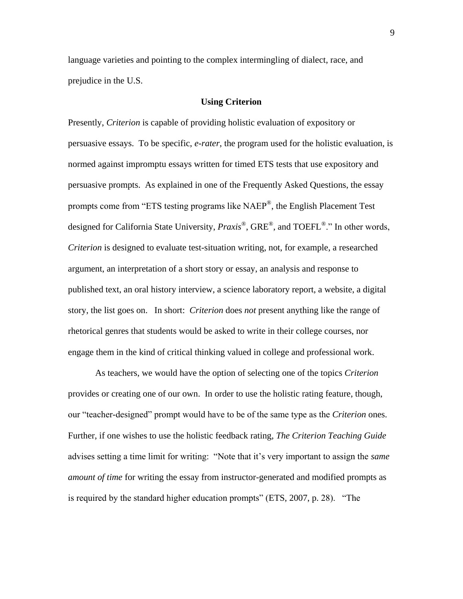language varieties and pointing to the complex intermingling of dialect, race, and prejudice in the U.S.

#### **Using Criterion**

Presently, *Criterion* is capable of providing holistic evaluation of expository or persuasive essays. To be specific, *e-rater*, the program used for the holistic evaluation, is normed against impromptu essays written for timed ETS tests that use expository and persuasive prompts. As explained in one of the Frequently Asked Questions, the essay prompts come from "ETS testing programs like NAEP<sup>®</sup>, the English Placement Test designed for California State University, *Praxis*®, GRE®, and TOEFL<sup>®</sup>." In other words, *Criterion* is designed to evaluate test-situation writing, not, for example, a researched argument, an interpretation of a short story or essay, an analysis and response to published text, an oral history interview, a science laboratory report, a website, a digital story, the list goes on. In short: *Criterion* does *not* present anything like the range of rhetorical genres that students would be asked to write in their college courses, nor engage them in the kind of critical thinking valued in college and professional work.

As teachers, we would have the option of selecting one of the topics *Criterion* provides or creating one of our own. In order to use the holistic rating feature, though, our "teacher-designed" prompt would have to be of the same type as the *Criterion* ones. Further, if one wishes to use the holistic feedback rating, *The Criterion Teaching Guide* advises setting a time limit for writing: "Note that it's very important to assign the *same amount of time* for writing the essay from instructor-generated and modified prompts as is required by the standard higher education prompts" (ETS, 2007, p. 28). "The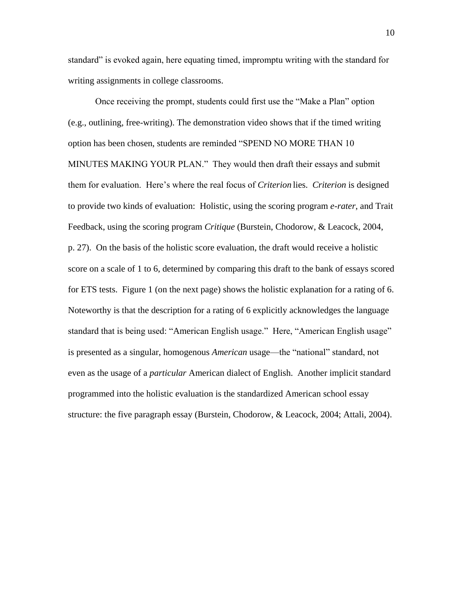standard" is evoked again, here equating timed, impromptu writing with the standard for writing assignments in college classrooms.

Once receiving the prompt, students could first use the "Make a Plan" option (e.g., outlining, free-writing). The demonstration video shows that if the timed writing option has been chosen, students are reminded "SPEND NO MORE THAN 10 MINUTES MAKING YOUR PLAN." They would then draft their essays and submit them for evaluation. Here"s where the real focus of *Criterion* lies. *Criterion* is designed to provide two kinds of evaluation: Holistic, using the scoring program *e-rater*, and Trait Feedback, using the scoring program *Critique* (Burstein, Chodorow, & Leacock, 2004, p. 27). On the basis of the holistic score evaluation, the draft would receive a holistic score on a scale of 1 to 6, determined by comparing this draft to the bank of essays scored for ETS tests. Figure 1 (on the next page) shows the holistic explanation for a rating of 6. Noteworthy is that the description for a rating of 6 explicitly acknowledges the language standard that is being used: "American English usage." Here, "American English usage" is presented as a singular, homogenous *American* usage—the "national" standard, not even as the usage of a *particular* American dialect of English. Another implicit standard programmed into the holistic evaluation is the standardized American school essay structure: the five paragraph essay (Burstein, Chodorow, & Leacock, 2004; Attali, 2004).

10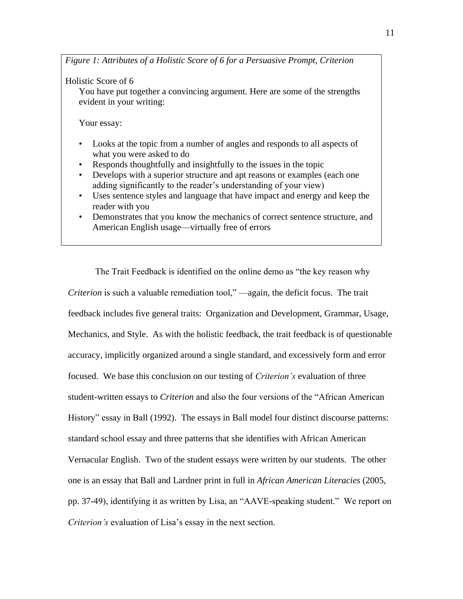*Figure 1: Attributes of a Holistic Score of 6 for a Persuasive Prompt, Criterion*

Holistic Score of 6

You have put together a convincing argument. Here are some of the strengths evident in your writing:

Your essay:

- Looks at the topic from a number of angles and responds to all aspects of what you were asked to do
- Responds thoughtfully and insightfully to the issues in the topic
- Develops with a superior structure and apt reasons or examples (each one adding significantly to the reader"s understanding of your view)
- Uses sentence styles and language that have impact and energy and keep the reader with you
- Demonstrates that you know the mechanics of correct sentence structure, and American English usage—virtually free of errors

The Trait Feedback is identified on the online demo as "the key reason why *Criterion* is such a valuable remediation tool," —again, the deficit focus. The trait feedback includes five general traits: Organization and Development, Grammar, Usage, Mechanics, and Style. As with the holistic feedback, the trait feedback is of questionable accuracy, implicitly organized around a single standard, and excessively form and error focused. We base this conclusion on our testing of *Criterion's* evaluation of three student-written essays to *Criterion* and also the four versions of the "African American History" essay in Ball (1992). The essays in Ball model four distinct discourse patterns: standard school essay and three patterns that she identifies with African American Vernacular English. Two of the student essays were written by our students. The other one is an essay that Ball and Lardner print in full in *African American Literacies* (2005, pp. 37-49), identifying it as written by Lisa, an "AAVE-speaking student." We report on *Criterion's* evaluation of Lisa's essay in the next section.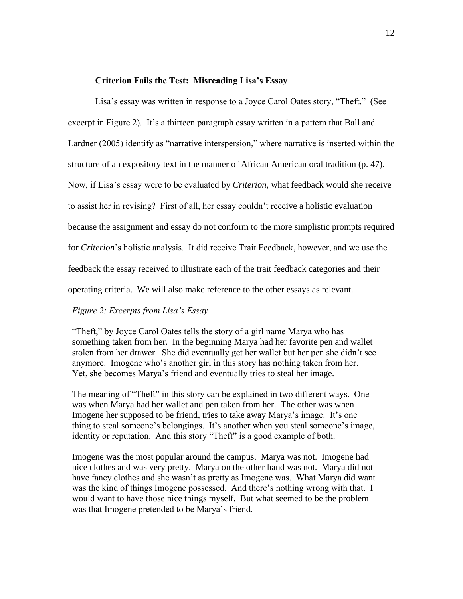### **Criterion Fails the Test: Misreading Lisa's Essay**

Lisa"s essay was written in response to a Joyce Carol Oates story, "Theft." (See

excerpt in Figure 2). It's a thirteen paragraph essay written in a pattern that Ball and

Lardner (2005) identify as "narrative interspersion," where narrative is inserted within the

structure of an expository text in the manner of African American oral tradition (p. 47).

Now, if Lisa"s essay were to be evaluated by *Criterion*, what feedback would she receive

to assist her in revising? First of all, her essay couldn"t receive a holistic evaluation

because the assignment and essay do not conform to the more simplistic prompts required

for *Criterion*"s holistic analysis. It did receive Trait Feedback, however, and we use the

feedback the essay received to illustrate each of the trait feedback categories and their

operating criteria. We will also make reference to the other essays as relevant.

## *Figure 2: Excerpts from Lisa's Essay*

"Theft," by Joyce Carol Oates tells the story of a girl name Marya who has something taken from her. In the beginning Marya had her favorite pen and wallet stolen from her drawer. She did eventually get her wallet but her pen she didn"t see anymore. Imogene who"s another girl in this story has nothing taken from her. Yet, she becomes Marya"s friend and eventually tries to steal her image.

The meaning of "Theft" in this story can be explained in two different ways. One was when Marya had her wallet and pen taken from her. The other was when Imogene her supposed to be friend, tries to take away Marya"s image. It"s one thing to steal someone's belongings. It's another when you steal someone's image, identity or reputation. And this story "Theft" is a good example of both.

Imogene was the most popular around the campus. Marya was not. Imogene had nice clothes and was very pretty. Marya on the other hand was not. Marya did not have fancy clothes and she wasn"t as pretty as Imogene was. What Marya did want was the kind of things Imogene possessed. And there"s nothing wrong with that. I would want to have those nice things myself. But what seemed to be the problem was that Imogene pretended to be Marya"s friend.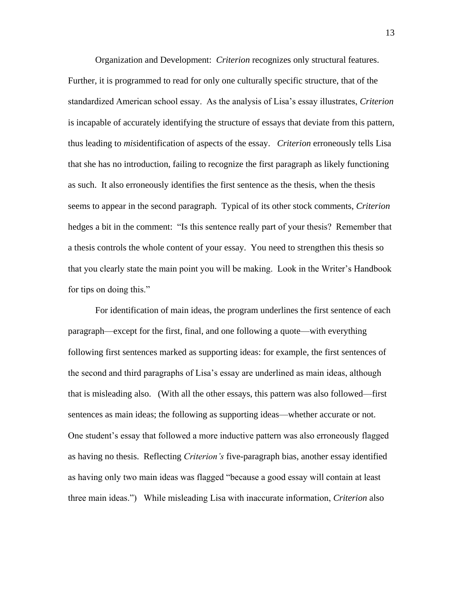Organization and Development: *Criterion* recognizes only structural features. Further, it is programmed to read for only one culturally specific structure, that of the standardized American school essay. As the analysis of Lisa"s essay illustrates, *Criterion* is incapable of accurately identifying the structure of essays that deviate from this pattern, thus leading to *mis*identification of aspects of the essay. *Criterion* erroneously tells Lisa that she has no introduction, failing to recognize the first paragraph as likely functioning as such. It also erroneously identifies the first sentence as the thesis, when the thesis seems to appear in the second paragraph. Typical of its other stock comments, *Criterion* hedges a bit in the comment: "Is this sentence really part of your thesis? Remember that a thesis controls the whole content of your essay. You need to strengthen this thesis so that you clearly state the main point you will be making. Look in the Writer"s Handbook for tips on doing this."

For identification of main ideas, the program underlines the first sentence of each paragraph—except for the first, final, and one following a quote—with everything following first sentences marked as supporting ideas: for example, the first sentences of the second and third paragraphs of Lisa"s essay are underlined as main ideas, although that is misleading also. (With all the other essays, this pattern was also followed—first sentences as main ideas; the following as supporting ideas—whether accurate or not. One student"s essay that followed a more inductive pattern was also erroneously flagged as having no thesis. Reflecting *Criterion's* five-paragraph bias, another essay identified as having only two main ideas was flagged "because a good essay will contain at least three main ideas.") While misleading Lisa with inaccurate information, *Criterion* also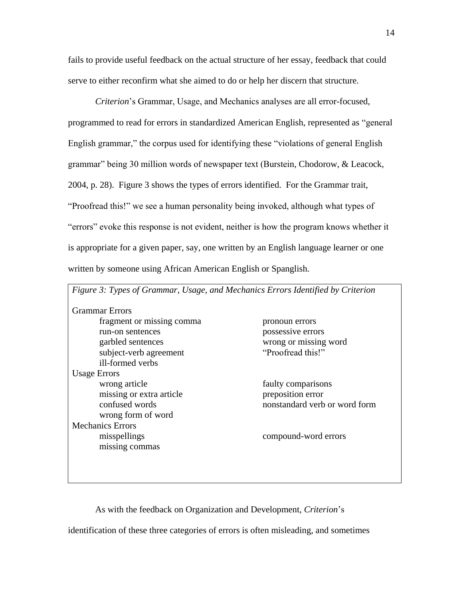fails to provide useful feedback on the actual structure of her essay, feedback that could serve to either reconfirm what she aimed to do or help her discern that structure.

*Criterion*"s Grammar, Usage, and Mechanics analyses are all error-focused, programmed to read for errors in standardized American English, represented as "general English grammar," the corpus used for identifying these "violations of general English grammar" being 30 million words of newspaper text (Burstein, Chodorow, & Leacock, 2004, p. 28). Figure 3 shows the types of errors identified. For the Grammar trait, "Proofread this!" we see a human personality being invoked, although what types of "errors" evoke this response is not evident, neither is how the program knows whether it is appropriate for a given paper, say, one written by an English language learner or one written by someone using African American English or Spanglish.

| <b>Grammar</b> Errors     |                               |
|---------------------------|-------------------------------|
| fragment or missing comma | pronoun errors                |
| run-on sentences          | possessive errors             |
| garbled sentences         | wrong or missing word         |
| subject-verb agreement    | "Proofread this!"             |
| ill-formed verbs          |                               |
| <b>Usage Errors</b>       |                               |
| wrong article             | faulty comparisons            |
| missing or extra article  | preposition error             |
| confused words            | nonstandard verb or word form |
| wrong form of word        |                               |
| <b>Mechanics Errors</b>   |                               |
| misspellings              | compound-word errors          |
| missing commas            |                               |

As with the feedback on Organization and Development, *Criterion*"s

identification of these three categories of errors is often misleading, and sometimes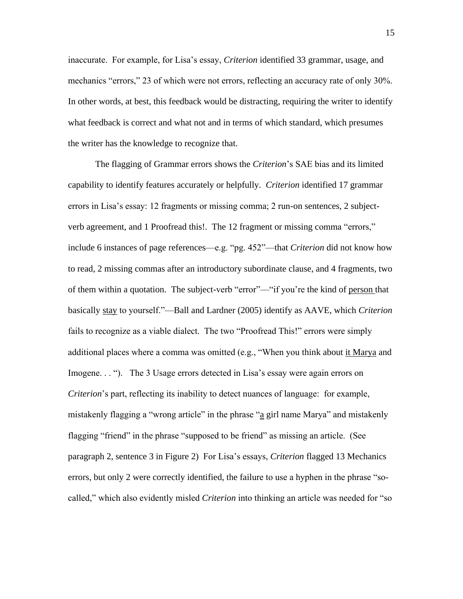inaccurate. For example, for Lisa"s essay, *Criterion* identified 33 grammar, usage, and mechanics "errors," 23 of which were not errors, reflecting an accuracy rate of only 30%. In other words, at best, this feedback would be distracting, requiring the writer to identify what feedback is correct and what not and in terms of which standard, which presumes the writer has the knowledge to recognize that.

The flagging of Grammar errors shows the *Criterion*"s SAE bias and its limited capability to identify features accurately or helpfully. *Criterion* identified 17 grammar errors in Lisa's essay: 12 fragments or missing comma; 2 run-on sentences, 2 subjectverb agreement, and 1 Proofread this!. The 12 fragment or missing comma "errors," include 6 instances of page references—e.g. "pg. 452"—that *Criterion* did not know how to read, 2 missing commas after an introductory subordinate clause, and 4 fragments, two of them within a quotation. The subject-verb "error"—"if you"re the kind of person that basically stay to yourself."—Ball and Lardner (2005) identify as AAVE, which *Criterion* fails to recognize as a viable dialect. The two "Proofread This!" errors were simply additional places where a comma was omitted (e.g., "When you think about it Marya and Imogene. . . "). The 3 Usage errors detected in Lisa's essay were again errors on *Criterion*"s part, reflecting its inability to detect nuances of language: for example, mistakenly flagging a "wrong article" in the phrase "a girl name Marya" and mistakenly flagging "friend" in the phrase "supposed to be friend" as missing an article. (See paragraph 2, sentence 3 in Figure 2) For Lisa"s essays, *Criterion* flagged 13 Mechanics errors, but only 2 were correctly identified, the failure to use a hyphen in the phrase "socalled," which also evidently misled *Criterion* into thinking an article was needed for "so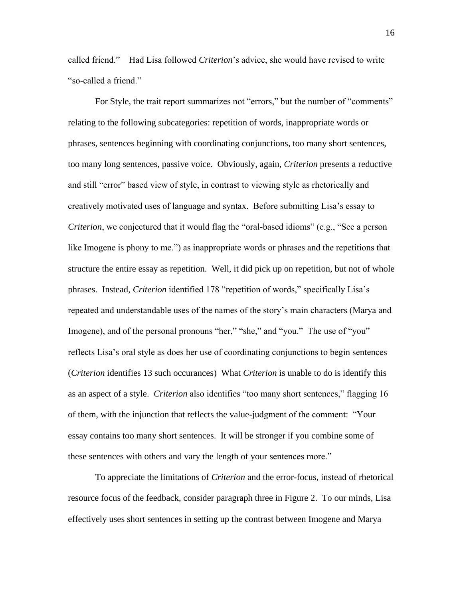called friend." Had Lisa followed *Criterion*"s advice, she would have revised to write "so-called a friend."

For Style, the trait report summarizes not "errors," but the number of "comments" relating to the following subcategories: repetition of words, inappropriate words or phrases, sentences beginning with coordinating conjunctions, too many short sentences, too many long sentences, passive voice. Obviously, again, *Criterion* presents a reductive and still "error" based view of style, in contrast to viewing style as rhetorically and creatively motivated uses of language and syntax. Before submitting Lisa"s essay to *Criterion*, we conjectured that it would flag the "oral-based idioms" (e.g., "See a person like Imogene is phony to me.") as inappropriate words or phrases and the repetitions that structure the entire essay as repetition. Well, it did pick up on repetition, but not of whole phrases. Instead, *Criterion* identified 178 "repetition of words," specifically Lisa"s repeated and understandable uses of the names of the story"s main characters (Marya and Imogene), and of the personal pronouns "her," "she," and "you." The use of "you" reflects Lisa's oral style as does her use of coordinating conjunctions to begin sentences (*Criterion* identifies 13 such occurances) What *Criterion* is unable to do is identify this as an aspect of a style. *Criterion* also identifies "too many short sentences," flagging 16 of them, with the injunction that reflects the value-judgment of the comment: "Your essay contains too many short sentences. It will be stronger if you combine some of these sentences with others and vary the length of your sentences more."

To appreciate the limitations of *Criterion* and the error-focus, instead of rhetorical resource focus of the feedback, consider paragraph three in Figure 2. To our minds, Lisa effectively uses short sentences in setting up the contrast between Imogene and Marya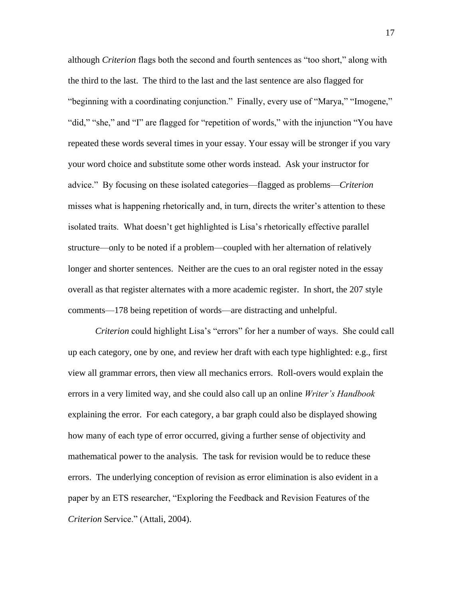although *Criterion* flags both the second and fourth sentences as "too short," along with the third to the last. The third to the last and the last sentence are also flagged for "beginning with a coordinating conjunction." Finally, every use of "Marya," "Imogene," "did," "she," and "I" are flagged for "repetition of words," with the injunction "You have repeated these words several times in your essay. Your essay will be stronger if you vary your word choice and substitute some other words instead. Ask your instructor for advice." By focusing on these isolated categories—flagged as problems—*Criterion* misses what is happening rhetorically and, in turn, directs the writer"s attention to these isolated traits. What doesn"t get highlighted is Lisa"s rhetorically effective parallel structure—only to be noted if a problem—coupled with her alternation of relatively longer and shorter sentences. Neither are the cues to an oral register noted in the essay overall as that register alternates with a more academic register. In short, the 207 style comments—178 being repetition of words—are distracting and unhelpful.

*Criterion* could highlight Lisa's "errors" for her a number of ways. She could call up each category, one by one, and review her draft with each type highlighted: e.g., first view all grammar errors, then view all mechanics errors. Roll-overs would explain the errors in a very limited way, and she could also call up an online *Writer's Handbook*  explaining the error. For each category, a bar graph could also be displayed showing how many of each type of error occurred, giving a further sense of objectivity and mathematical power to the analysis. The task for revision would be to reduce these errors. The underlying conception of revision as error elimination is also evident in a paper by an ETS researcher, "Exploring the Feedback and Revision Features of the *Criterion* Service." (Attali, 2004).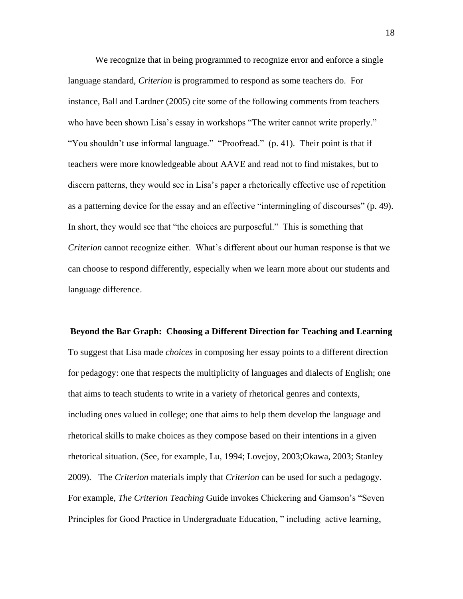We recognize that in being programmed to recognize error and enforce a single language standard, *Criterion* is programmed to respond as some teachers do. For instance, Ball and Lardner (2005) cite some of the following comments from teachers who have been shown Lisa's essay in workshops "The writer cannot write properly." "You shouldn't use informal language." "Proofread." (p. 41). Their point is that if teachers were more knowledgeable about AAVE and read not to find mistakes, but to discern patterns, they would see in Lisa"s paper a rhetorically effective use of repetition as a patterning device for the essay and an effective "intermingling of discourses" (p. 49). In short, they would see that "the choices are purposeful." This is something that *Criterion* cannot recognize either. What"s different about our human response is that we can choose to respond differently, especially when we learn more about our students and language difference.

**Beyond the Bar Graph: Choosing a Different Direction for Teaching and Learning** To suggest that Lisa made *choices* in composing her essay points to a different direction for pedagogy: one that respects the multiplicity of languages and dialects of English; one that aims to teach students to write in a variety of rhetorical genres and contexts, including ones valued in college; one that aims to help them develop the language and rhetorical skills to make choices as they compose based on their intentions in a given rhetorical situation. (See, for example, Lu, 1994; Lovejoy, 2003;Okawa, 2003; Stanley 2009). The *Criterion* materials imply that *Criterion* can be used for such a pedagogy. For example, *The Criterion Teaching* Guide invokes Chickering and Gamson's "Seven Principles for Good Practice in Undergraduate Education, " including active learning,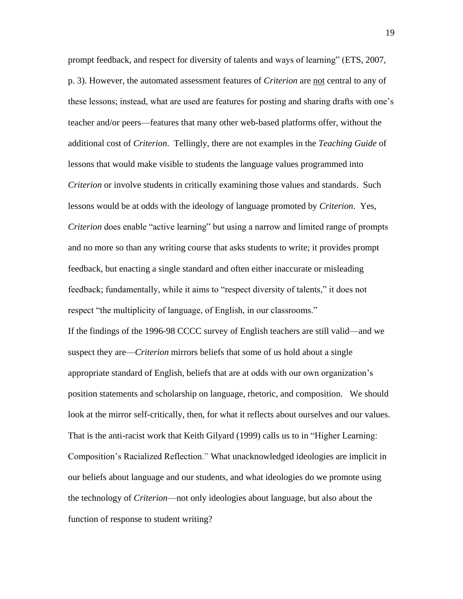prompt feedback, and respect for diversity of talents and ways of learning" (ETS, 2007, p. 3). However, the automated assessment features of *Criterion* are not central to any of these lessons; instead, what are used are features for posting and sharing drafts with one"s teacher and/or peers—features that many other web-based platforms offer, without the additional cost of *Criterion*. Tellingly, there are not examples in the *Teaching Guide* of lessons that would make visible to students the language values programmed into *Criterion* or involve students in critically examining those values and standards. Such lessons would be at odds with the ideology of language promoted by *Criterion*. Yes, *Criterion* does enable "active learning" but using a narrow and limited range of prompts and no more so than any writing course that asks students to write; it provides prompt feedback, but enacting a single standard and often either inaccurate or misleading feedback; fundamentally, while it aims to "respect diversity of talents," it does not respect "the multiplicity of language, of English, in our classrooms." If the findings of the 1996-98 CCCC survey of English teachers are still valid—and we suspect they are—*Criterion* mirrors beliefs that some of us hold about a single appropriate standard of English, beliefs that are at odds with our own organization"s position statements and scholarship on language, rhetoric, and composition. We should look at the mirror self-critically, then, for what it reflects about ourselves and our values. That is the anti-racist work that Keith Gilyard (1999) calls us to in "Higher Learning: Composition"s Racialized Reflection." What unacknowledged ideologies are implicit in our beliefs about language and our students, and what ideologies do we promote using the technology of *Criterion*—not only ideologies about language, but also about the function of response to student writing?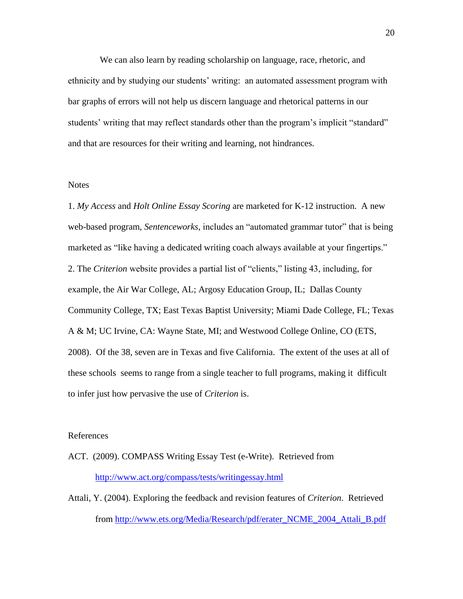We can also learn by reading scholarship on language, race, rhetoric, and ethnicity and by studying our students" writing: an automated assessment program with bar graphs of errors will not help us discern language and rhetorical patterns in our students' writing that may reflect standards other than the program's implicit "standard" and that are resources for their writing and learning, not hindrances.

#### **Notes**

1. *My Access* and *Holt Online Essay Scoring* are marketed for K-12 instruction. A new web-based program, *Sentenceworks*, includes an "automated grammar tutor" that is being marketed as "like having a dedicated writing coach always available at your fingertips." 2. The *Criterion* website provides a partial list of "clients," listing 43, including, for example, the Air War College, AL; Argosy Education Group, IL; Dallas County Community College, TX; East Texas Baptist University; Miami Dade College, FL; Texas A & M; UC Irvine, CA: Wayne State, MI; and Westwood College Online, CO (ETS, 2008). Of the 38, seven are in Texas and five California. The extent of the uses at all of these schools seems to range from a single teacher to full programs, making it difficult to infer just how pervasive the use of *Criterion* is.

#### References

ACT. (2009). COMPASS Writing Essay Test (e-Write). Retrieved from <http://www.act.org/compass/tests/writingessay.html>

Attali, Y. (2004). Exploring the feedback and revision features of *Criterion*. Retrieved from [http://www.ets.org/Media/Research/pdf/erater\\_NCME\\_2004\\_Attali\\_B.pdf](http://www.ets.org/Media/Research/pdf/erater_NCME_2004_Attali_B.pdf)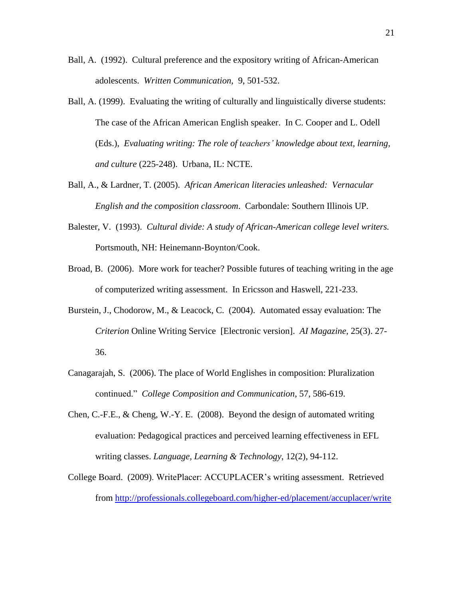- Ball, A. (1992). Cultural preference and the expository writing of African-American adolescents. *Written Communication*, 9, 501-532.
- Ball, A. (1999). Evaluating the writing of culturally and linguistically diverse students: The case of the African American English speaker. In C. Cooper and L. Odell (Eds.), *Evaluating writing: The role of teachers' knowledge about text, learning, and culture* (225-248). Urbana, IL: NCTE.
- Ball, A., & Lardner, T. (2005). *African American literacies unleashed: Vernacular English and the composition classroom*. Carbondale: Southern Illinois UP.
- Balester, V. (1993). *Cultural divide: A study of African-American college level writers.* Portsmouth, NH: Heinemann-Boynton/Cook.
- Broad, B. (2006). More work for teacher? Possible futures of teaching writing in the age of computerized writing assessment. In Ericsson and Haswell, 221-233.
- Burstein, J., Chodorow, M., & Leacock, C. (2004). Automated essay evaluation: The *Criterion* Online Writing Service [Electronic version]. *AI Magazine,* 25(3). 27- 36.
- Canagarajah, S. (2006). The place of World Englishes in composition: Pluralization continued." *College Composition and Communication*, 57, 586-619.
- Chen, C.-F.E., & Cheng, W.-Y. E. (2008). Beyond the design of automated writing evaluation: Pedagogical practices and perceived learning effectiveness in EFL writing classes. *Language, Learning & Technology*, 12(2), 94-112.
- College Board. (2009). WritePlacer: ACCUPLACER"s writing assessment. Retrieved from<http://professionals.collegeboard.com/higher-ed/placement/accuplacer/write>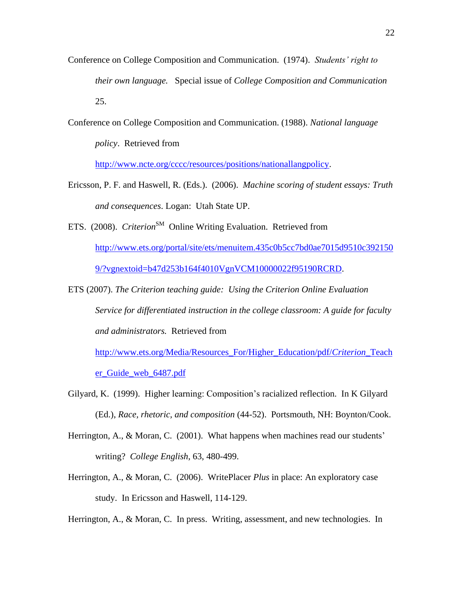- Conference on College Composition and Communication. (1974). *Students' right to their own language.* Special issue of *College Composition and Communication* 25.
- Conference on College Composition and Communication. (1988). *National language policy*. Retrieved from

[http://www.ncte.org/cccc/resources/positions/nationallangpolicy.](http://www.ncte.org/cccc/resources/positions/nationallangpolicy)

- Ericsson, P. F. and Haswell, R. (Eds.). (2006). *Machine scoring of student essays: Truth and consequences*. Logan: Utah State UP.
- ETS. (2008). *Criterion*<sup>SM</sup> Online Writing Evaluation. Retrieved from [http://www.ets.org/portal/site/ets/menuitem.435c0b5cc7bd0ae7015d9510c392150](http://www.ets.org/portal/site/ets/menuitem.435c0b5cc7bd0ae7015d9510c3921509/?vgnextoid=b47d253b164f4010VgnVCM10000022f95190RCRD) [9/?vgnextoid=b47d253b164f4010VgnVCM10000022f95190RCRD.](http://www.ets.org/portal/site/ets/menuitem.435c0b5cc7bd0ae7015d9510c3921509/?vgnextoid=b47d253b164f4010VgnVCM10000022f95190RCRD)
- ETS (2007). *The Criterion teaching guide: Using the Criterion Online Evaluation Service for differentiated instruction in the college classroom: A guide for faculty and administrators.* Retrieved from

[http://www.ets.org/Media/Resources\\_For/Higher\\_Education/pdf/](http://www.ets.org/Media/Resources_For/Higher_Education/pdf/Criterion_Teacher_Guide_web_6487.pdf)*Criterion*\_Teach [er\\_Guide\\_web\\_6487.pdf](http://www.ets.org/Media/Resources_For/Higher_Education/pdf/Criterion_Teacher_Guide_web_6487.pdf)

- Gilyard, K. (1999). Higher learning: Composition"s racialized reflection. In K Gilyard (Ed.), *Race, rhetoric, and composition* (44-52). Portsmouth, NH: Boynton/Cook.
- Herrington, A., & Moran, C. (2001). What happens when machines read our students' writing? *College English*, 63, 480-499.
- Herrington, A., & Moran, C. (2006). WritePlacer *Plus* in place: An exploratory case study. In Ericsson and Haswell, 114-129.

Herrington, A., & Moran, C. In press. Writing, assessment, and new technologies. In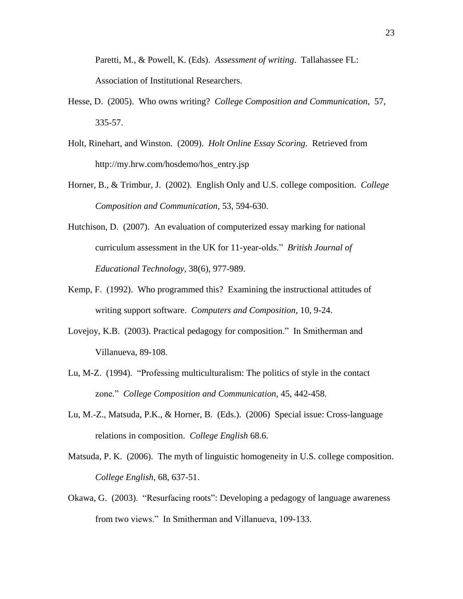Paretti, M., & Powell, K. (Eds). *Assessment of writing*. Tallahassee FL: Association of Institutional Researchers.

- Hesse, D. (2005). Who owns writing? *College Composition and Communication*, 57, 335-57.
- Holt, Rinehart, and Winston. (2009). *Holt Online Essay Scoring*. Retrieved from http://my.hrw.com/hosdemo/hos\_entry.jsp
- Horner, B., & Trimbur, J. (2002). English Only and U.S. college composition. *College Composition and Communication*, 53, 594-630.
- Hutchison, D. (2007). An evaluation of computerized essay marking for national curriculum assessment in the UK for 11-year-olds." *British Journal of Educational Technology*, 38(6), 977-989.
- Kemp, F. (1992). Who programmed this? Examining the instructional attitudes of writing support software. *Computers and Composition*, 10, 9-24.
- Lovejoy, K.B. (2003). Practical pedagogy for composition." In Smitherman and Villanueva, 89-108.
- Lu, M-Z. (1994). "Professing multiculturalism: The politics of style in the contact zone." *College Composition and Communication*, 45, 442-458.
- Lu, M.-Z., Matsuda, P.K., & Horner, B. (Eds.). (2006) Special issue: Cross-language relations in composition. *College English* 68.6.
- Matsuda, P. K. (2006). The myth of linguistic homogeneity in U.S. college composition. *College English*, 68, 637-51.
- Okawa, G. (2003). "Resurfacing roots": Developing a pedagogy of language awareness from two views." In Smitherman and Villanueva, 109-133.